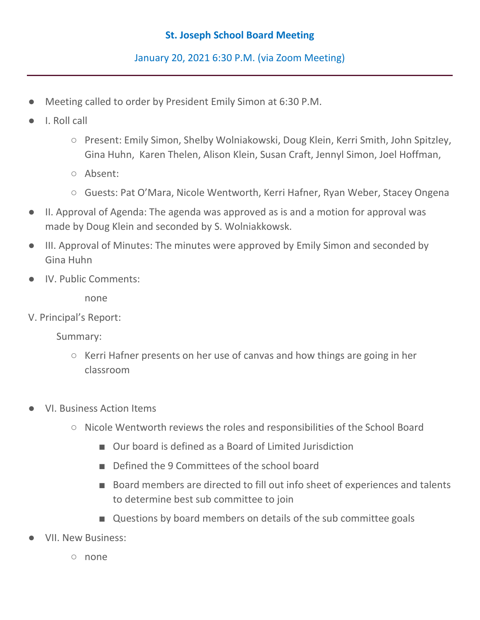## **St. Joseph School Board Meeting**

January 20, 2021 6:30 P.M. (via Zoom Meeting)

- Meeting called to order by President Emily Simon at 6:30 P.M.
- I. Roll call
	- Present: Emily Simon, Shelby Wolniakowski, Doug Klein, Kerri Smith, John Spitzley, Gina Huhn, Karen Thelen, Alison Klein, Susan Craft, Jennyl Simon, Joel Hoffman,
	- Absent:
	- Guests: Pat O'Mara, Nicole Wentworth, Kerri Hafner, Ryan Weber, Stacey Ongena
- II. Approval of Agenda: The agenda was approved as is and a motion for approval was made by Doug Klein and seconded by S. Wolniakkowsk.
- III. Approval of Minutes: The minutes were approved by Emily Simon and seconded by Gina Huhn
- IV. Public Comments:

none

V. Principal's Report:

Summary:

- Kerri Hafner presents on her use of canvas and how things are going in her classroom
- **VI. Business Action Items** 
	- Nicole Wentworth reviews the roles and responsibilities of the School Board
		- Our board is defined as a Board of Limited Jurisdiction
		- Defined the 9 Committees of the school board
		- Board members are directed to fill out info sheet of experiences and talents to determine best sub committee to join
		- Questions by board members on details of the sub committee goals
- **VII. New Business:** 
	- none